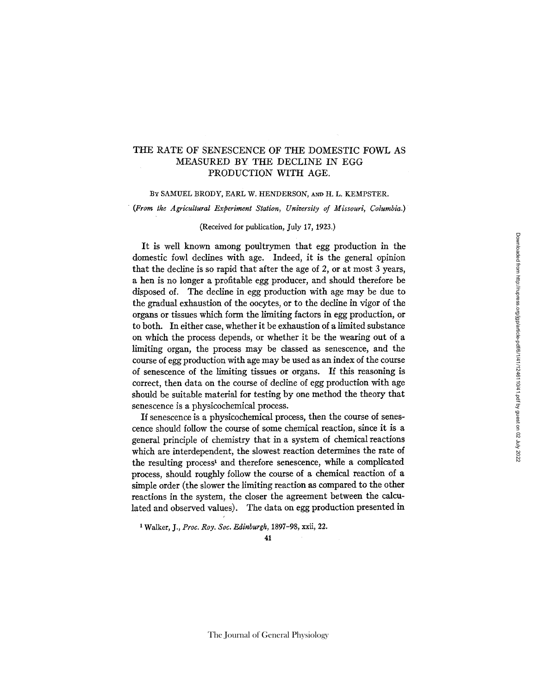## THE RATE OF SENESCENCE OF THE DOMESTIC FOWL AS MEASURED BY THE DECLINE IN EGG *PRODUCTION* WITH AGE.

## BY SAMUEL BRODY, EARL W. HENDERSON, AND H. L. KEMPSTER.

*• (From the Agricultural Experiment Station, University of Missouri, Columbia.)* 

## (Received for publication, July *17,* 1923.)

It is well known among poultrymen that egg production in the domestic fowl declines with age. Indeed, it is the general opinion that the decline is so rapid that after the age of 2, or at most 3 years, a hen is no longer a profitable egg producer, and should therefore be disposed of. The decline in egg production with age may be due to the gradual exhaustion of the oocytes, or to the decline in vigor of the organs or tissues which form the limiting factors in egg production, or to both, In either case, whether it be exhaustion of a limited substance on which the process depends, or whether it be the wearing out of a limiting organ, the process may be classed as senescence, and the course of egg production with age may be used as an index of the course of senescence of the limiting tissues or organs. If this reasoning is correct, then data on the course of decline of egg production with age should be suitable material for testing by one method the theory that senescence is a physicochemical process.

If senescence is a physicochemical process, then the course of senescence should follow the course of some chemical reaction, since it is a general principle of chemistry that in a system of chemical reactions which are interdependent, the slowest reaction determines the rate of the resulting process<sup>1</sup> and therefore senescence, while a complicated process, should roughly follow the course of a chemical reaction of a simple order (the slower the limiting reaction as compared to the other reactions in the system, the closer the agreement between the calculated and observed values). The data on egg production presented in

1 Walker, J., *Proc. Roy. Soc. Ed.inburgh,* 1897-98, xxii, 22.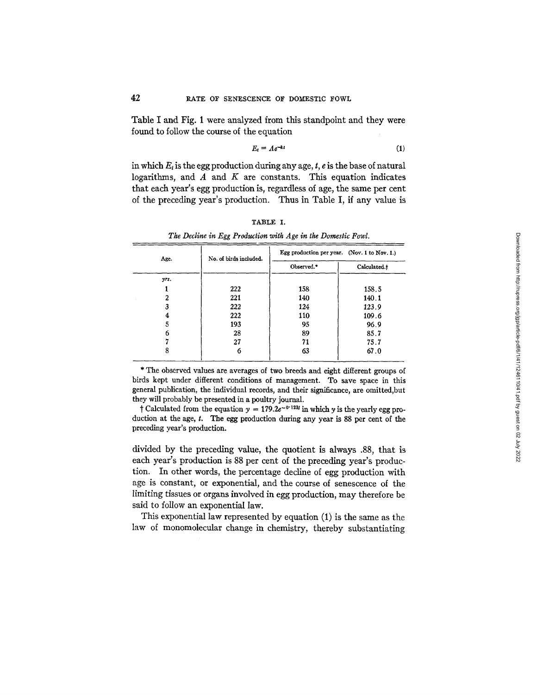Table I and Fig. 1 were analyzed from this standpoint and they were found to follow the course of the equation

$$
E_t = Ae^{-kt} \tag{1}
$$

in which  $E_t$  is the egg production during any age,  $t$ ,  $e$  is the base of natural logarithms, and  $A$  and  $K$  are constants. This equation indicates that each year's egg production is, regardless of age, the same per cent of the preceding year's production. Thus in Table I, if any value is

| B.<br>. .<br>ъ. |  |
|-----------------|--|
|-----------------|--|

| Age. | No. of birds included. | Egg production per year. (Nov. 1 to Nov. 1.) |              |
|------|------------------------|----------------------------------------------|--------------|
|      |                        | Observed.*                                   | Calculated.t |
| yrs. |                        |                                              |              |
|      | 222                    | 158                                          | 158.5        |
|      | 221                    | 140                                          | 140.1        |
|      | 222                    | 124                                          | 123.9        |
|      | 222                    | 110                                          | 109.6        |
|      | 193                    | 95                                           | 96.9         |
| 6    | 28                     | 89                                           | 85.7         |
|      | 27                     | 71                                           | 75.7         |
|      | 6                      | 63                                           | 67.0         |

*The Decline in Egg Production with Age in the Domestic Fowl.* 

\* The observed values are averages of two breeds and eight different groups of birds kept under different conditions of management. To save space in this general publication, the individual records, and their significance, are omitted,but they will probably be presented in a poultry journal.

† Calculated from the equation  $y = 179.2e^{-0.123t}$  in which y is the yearly egg production at the age, t. The egg production during any year is 88 per cent of the preceding year's production.

divided by the preceding value, the quotient is always .88, that is each year's production is 88 per cent of the preceding year's production. In other words, the percentage decline of egg production with age is constant, or exponential, and the course of senescence of the limiting tissues or organs involved in egg production, may therefore be said to follow an exponential law.

This exponential law represented by equation (1) is the same as the law of monomolecular change in chemistry, thereby substantiating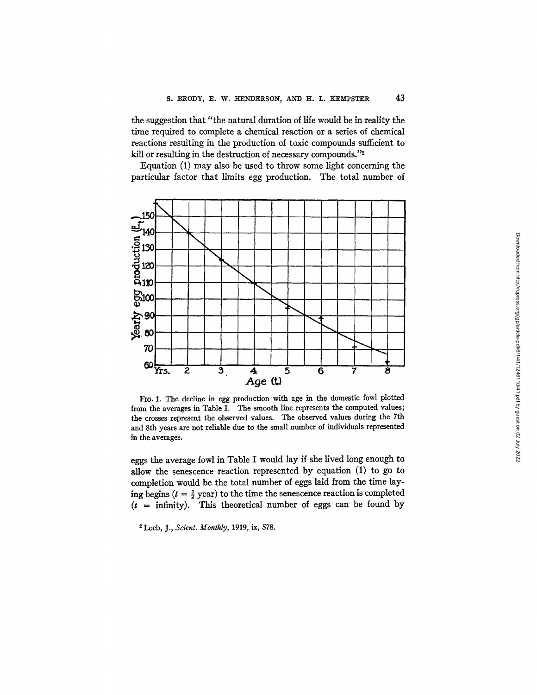the suggestion that "the natural duration of life would be in reality the time required to complete a chemical reaction or a series of chemical reactions resulting in the production of toxic compounds sufficient to kill or resulting in the destruction of necessary compounds."<sup>2</sup>

Equation (1) may also be used to throw some light concerning the particular factor that limits egg production. The total number of



FIO. 1. The decline in egg production with age in the domestic fowl plotted from the averages in Table I. The smooth line represents the computed values; the crosses represent the observed values. The observed values during the 7th and 8th years are not reliable due to the small number of individuals represented in the averages.

eggs the average fowl in Table I would lay if she lived long enough to allow the senescence reaction represented by equation (1) to go to completion would be the total number of eggs laid from the time laying begins  $(t = \frac{1}{2}$  year) to the time the senescence reaction is completed  $(t =$  infinity). This theoretical number of eggs can be found by

Loeb, J., *Scienl. Monthly,* 1919, ix, 578.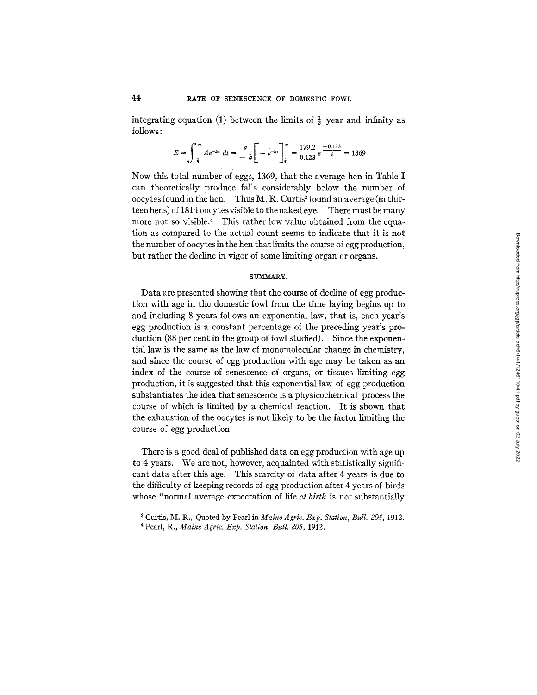integrating equation (1) between the limits of  $\frac{1}{2}$  year and infinity as follows:

$$
E = \int_{-\frac{1}{2}}^{\infty} Ae^{-kt} dt = \frac{a}{-k} \left[ -e^{-kt} \right]_{\frac{1}{2}}^{\infty} = \frac{179.2}{0.123} e^{-\frac{(0.123)}{2}} = 1369
$$

Now this total number of eggs, 1369, that the average hen in Table I can theoretically produce falls considerably below the number of oocytes found in the hen. Thus  $M$ . R. Curtis<sup>3</sup> found an average (in thirteen hens) of 1814 oocytesvisible to the naked eye. There must be many more not so visible.<sup>4</sup> This rather low value obtained from the equation as compared to the actual count seems to indicate that it is not the number of oocytesin the hen that limits the course of egg production, but rather the decline in vigor of some limiting organ or organs.

## SUMMARY.

Data are presented showing that the course of decline of egg production with age in the domestic fowl from the time laying begins up to and including 8 years follows an exponential law, that is, each year's egg production is a constant percentage of the preceding year's production (88 per cent in the group of fowl studied). Since the exponential law is the same as the law of monomolecular change in chemistry, and since the course of egg production with age may be taken as an index of the course of senescence of organs, or tissues limiting egg production, it is suggested that this exponential law of egg production substantiates the idea that senescence is a physicochemical process the course of which is limited by a chemical reaction. It is shown that the exhaustion of the oocytes is not likely to be the factor limiting the course of egg production.

There is a good deal of published data on egg production with age up to 4 years. We are not, however, acquainted with statistically significant data after this age. This scarcity of data after 4 years is due to the difficulty of keeping records of egg production after 4 years of birds whose "normal average expectation of life *at birth* is not substantially Downloaded from http://rupress.org/jgp/article-pdf/6/1/41/1246110/41.pdf by guest on 02 July 2022 Downloaded from http://rupress.org/jgp/article-pdf/6/1/41/1246110/41.pdf by guest on 02 July 2022

Curtis, M. R., Quoted by Pearl in *Maine Agric. Exp. Station, Bull. 205,* 1912.

<sup>4</sup> Pearl, R., *Maine Agric. Exp. Station, Bull. 205,* 1912.